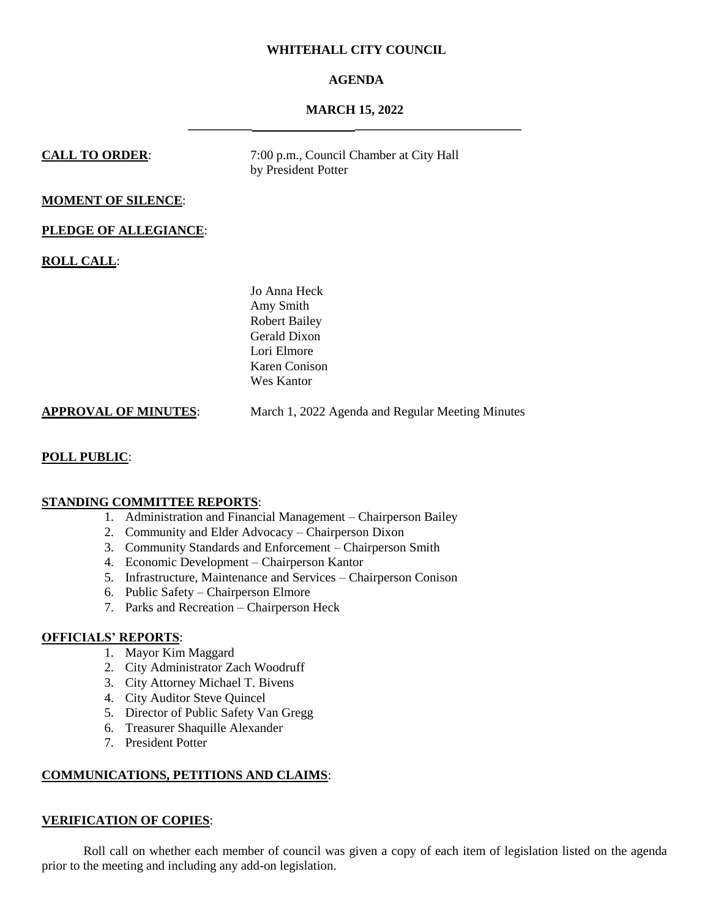# **WHITEHALL CITY COUNCIL**

# **AGENDA**

# **MARCH 15, 2022 \_\_\_\_\_\_\_\_\_\_ \_\_\_\_\_\_\_\_\_\_\_\_\_\_\_\_\_\_\_\_\_\_\_\_\_\_**

| <b>CALL TO ORDER:</b>       | 7:00 p.m., Council Chamber at City Hall<br>by President Potter                                                  |
|-----------------------------|-----------------------------------------------------------------------------------------------------------------|
| <b>MOMENT OF SILENCE:</b>   |                                                                                                                 |
| PLEDGE OF ALLEGIANCE:       |                                                                                                                 |
| <b>ROLL CALL:</b>           |                                                                                                                 |
|                             | Jo Anna Heck<br>Amy Smith<br><b>Robert Bailey</b><br>Gerald Dixon<br>Lori Elmore<br>Karen Conison<br>Wes Kantor |
| <b>APPROVAL OF MINUTES:</b> | March 1, 2022 Agenda and Regular Meeting Minutes                                                                |

# **POLL PUBLIC**:

# **STANDING COMMITTEE REPORTS**:

- 1. Administration and Financial Management Chairperson Bailey
- 2. Community and Elder Advocacy Chairperson Dixon
- 3. Community Standards and Enforcement Chairperson Smith
- 4. Economic Development Chairperson Kantor
- 5. Infrastructure, Maintenance and Services Chairperson Conison
- 6. Public Safety Chairperson Elmore
- 7. Parks and Recreation Chairperson Heck

# **OFFICIALS' REPORTS**:

- 1. Mayor Kim Maggard
- 2. City Administrator Zach Woodruff
- 3. City Attorney Michael T. Bivens
- 4. City Auditor Steve Quincel
- 5. Director of Public Safety Van Gregg
- 6. Treasurer Shaquille Alexander
- 7. President Potter

# **COMMUNICATIONS, PETITIONS AND CLAIMS**:

#### **VERIFICATION OF COPIES**:

Roll call on whether each member of council was given a copy of each item of legislation listed on the agenda prior to the meeting and including any add-on legislation.